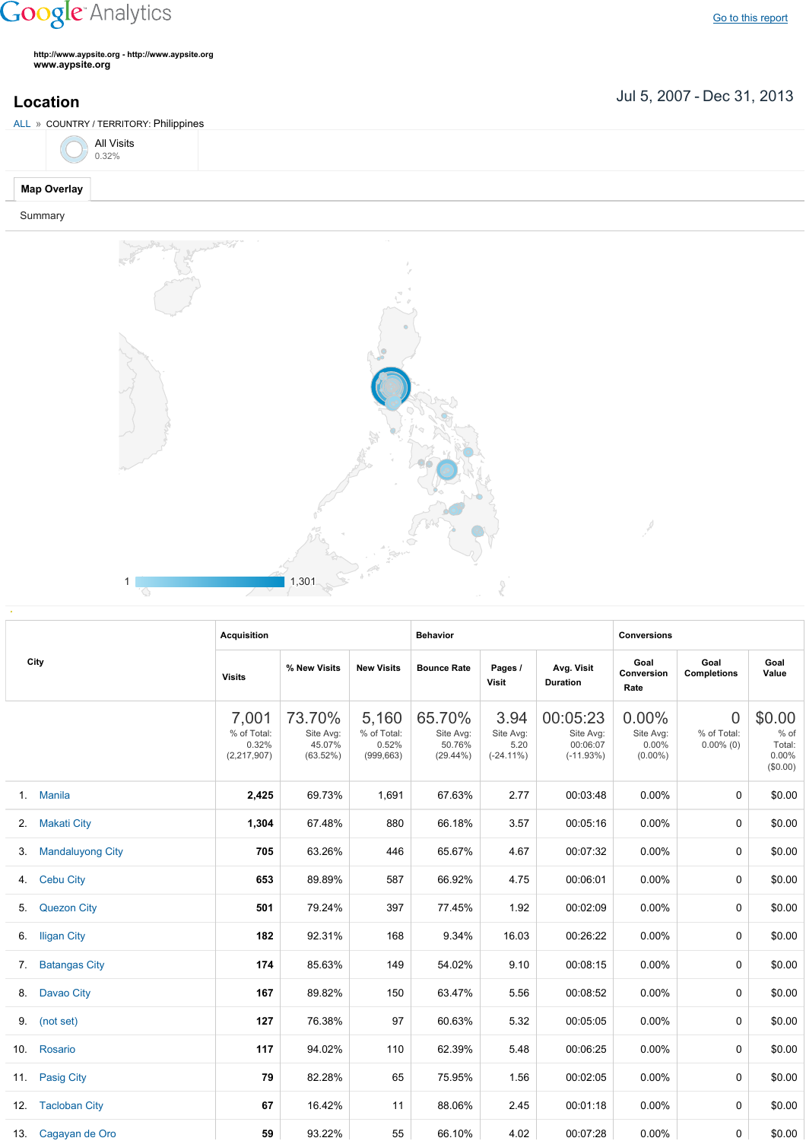## **Google** Analytics

Go to this [report](https://www.google.com/analytics/web/?utm_source=pdfReportLink#report/visitors-geo/a2184169w3912412p4016214/%3F_u.date00%3D20070705%26_u.date01%3D20131231%26geo-table.plotKeys%3D%5B%5D%26geo-table.rowStart%3D0%26geo-table.rowCount%3D1000%26_r.drilldown%3Danalytics.country%3APH/)

**http://www.aypsite.org http://www.aypsite.org www.aypsite.org**

Jul 5, 2007 Dec 31, 2013 **Location**



| City |                         | <b>Acquisition</b>                             |                                           |                                             | <b>Behavior</b>                              |                                           |                                                  | <b>Conversions</b>                           |                                               |                                                    |  |
|------|-------------------------|------------------------------------------------|-------------------------------------------|---------------------------------------------|----------------------------------------------|-------------------------------------------|--------------------------------------------------|----------------------------------------------|-----------------------------------------------|----------------------------------------------------|--|
|      |                         | <b>Visits</b>                                  | % New Visits                              | <b>New Visits</b>                           | <b>Bounce Rate</b>                           | Pages /<br>Visit                          | Avg. Visit<br><b>Duration</b>                    | Goal<br>Conversion<br>Rate                   | Goal<br><b>Completions</b>                    | Goal<br>Value                                      |  |
|      |                         | 7,001<br>% of Total:<br>0.32%<br>(2, 217, 907) | 73.70%<br>Site Avg:<br>45.07%<br>(63.52%) | 5,160<br>% of Total:<br>0.52%<br>(999, 663) | 65.70%<br>Site Avg:<br>50.76%<br>$(29.44\%)$ | 3.94<br>Site Avg:<br>5.20<br>$(-24.11\%)$ | 00:05:23<br>Site Avg:<br>00:06:07<br>$(-11.93%)$ | $0.00\%$<br>Site Avg:<br>0.00%<br>$(0.00\%)$ | $\overline{0}$<br>% of Total:<br>$0.00\%$ (0) | \$0.00<br>$%$ of<br>Total:<br>$0.00\%$<br>(\$0.00) |  |
| 1.   | <b>Manila</b>           | 2,425                                          | 69.73%                                    | 1,691                                       | 67.63%                                       | 2.77                                      | 00:03:48                                         | $0.00\%$                                     | $\Omega$                                      | \$0.00                                             |  |
| 2.   | <b>Makati City</b>      | 1,304                                          | 67.48%                                    | 880                                         | 66.18%                                       | 3.57                                      | 00:05:16                                         | $0.00\%$                                     | 0                                             | \$0.00                                             |  |
| 3.   | <b>Mandaluyong City</b> | 705                                            | 63.26%                                    | 446                                         | 65.67%                                       | 4.67                                      | 00:07:32                                         | 0.00%                                        | 0                                             | \$0.00                                             |  |
| 4.   | <b>Cebu City</b>        | 653                                            | 89.89%                                    | 587                                         | 66.92%                                       | 4.75                                      | 00:06:01                                         | 0.00%                                        | $\Omega$                                      | \$0.00                                             |  |
| 5.   | <b>Quezon City</b>      | 501                                            | 79.24%                                    | 397                                         | 77.45%                                       | 1.92                                      | 00:02:09                                         | 0.00%                                        | 0                                             | \$0.00                                             |  |
| 6.   | <b>Iligan City</b>      | 182                                            | 92.31%                                    | 168                                         | 9.34%                                        | 16.03                                     | 00:26:22                                         | 0.00%                                        | 0                                             | \$0.00                                             |  |
| 7.   | <b>Batangas City</b>    | 174                                            | 85.63%                                    | 149                                         | 54.02%                                       | 9.10                                      | 00:08:15                                         | 0.00%                                        | 0                                             | \$0.00                                             |  |
| 8.   | Davao City              | 167                                            | 89.82%                                    | 150                                         | 63.47%                                       | 5.56                                      | 00:08:52                                         | 0.00%                                        | 0                                             | \$0.00                                             |  |
| 9.   | (not set)               | 127                                            | 76.38%                                    | 97                                          | 60.63%                                       | 5.32                                      | 00:05:05                                         | 0.00%                                        | 0                                             | \$0.00                                             |  |
| 10.  | Rosario                 | 117                                            | 94.02%                                    | 110                                         | 62.39%                                       | 5.48                                      | 00:06:25                                         | $0.00\%$                                     | 0                                             | \$0.00                                             |  |
| 11.  | Pasig City              | 79                                             | 82.28%                                    | 65                                          | 75.95%                                       | 1.56                                      | 00:02:05                                         | $0.00\%$                                     | 0                                             | \$0.00                                             |  |
| 12.  | <b>Tacloban City</b>    | 67                                             | 16.42%                                    | 11                                          | 88.06%                                       | 2.45                                      | 00:01:18                                         | $0.00\%$                                     | 0                                             | \$0.00                                             |  |
| 13.  | Cagayan de Oro          | 59                                             | 93.22%                                    | 55                                          | 66.10%                                       | 4.02                                      | 00:07:28                                         | $0.00\%$                                     | $\Omega$                                      | \$0.00                                             |  |